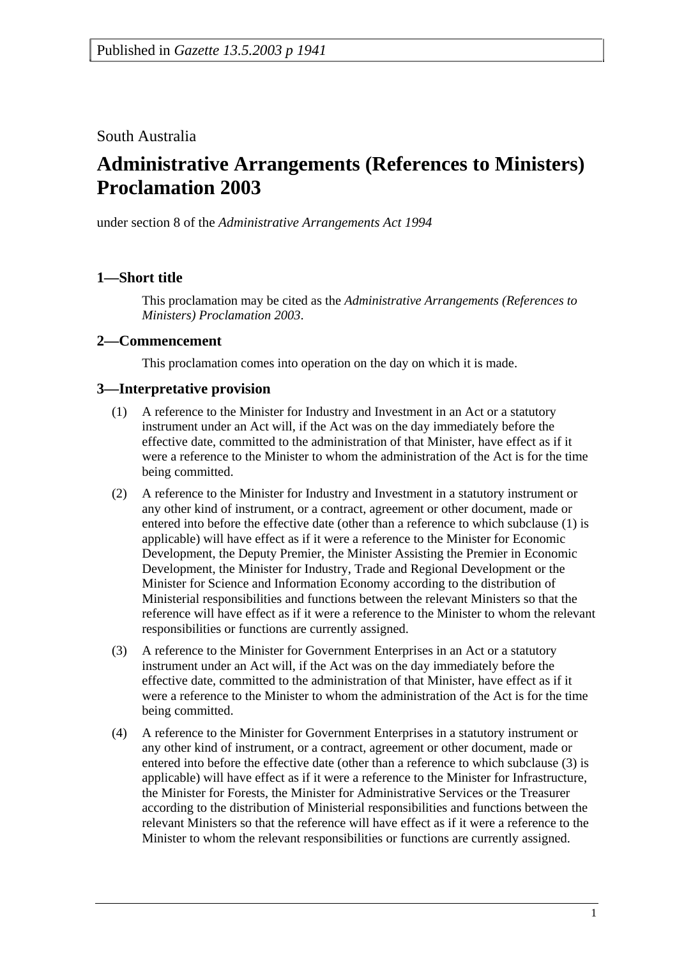## South Australia

# **Administrative Arrangements (References to Ministers) Proclamation 2003**

under section 8 of the *Administrative Arrangements Act 1994*

### **1—Short title**

This proclamation may be cited as the *Administrative Arrangements (References to Ministers) Proclamation 2003*.

#### **2—Commencement**

This proclamation comes into operation on the day on which it is made.

#### **3—Interpretative provision**

- (1) A reference to the Minister for Industry and Investment in an Act or a statutory instrument under an Act will, if the Act was on the day immediately before the effective date, committed to the administration of that Minister, have effect as if it were a reference to the Minister to whom the administration of the Act is for the time being committed.
- (2) A reference to the Minister for Industry and Investment in a statutory instrument or any other kind of instrument, or a contract, agreement or other document, made or entered into before the effective date (other than a reference to which subclause (1) is applicable) will have effect as if it were a reference to the Minister for Economic Development, the Deputy Premier, the Minister Assisting the Premier in Economic Development, the Minister for Industry, Trade and Regional Development or the Minister for Science and Information Economy according to the distribution of Ministerial responsibilities and functions between the relevant Ministers so that the reference will have effect as if it were a reference to the Minister to whom the relevant responsibilities or functions are currently assigned.
- (3) A reference to the Minister for Government Enterprises in an Act or a statutory instrument under an Act will, if the Act was on the day immediately before the effective date, committed to the administration of that Minister, have effect as if it were a reference to the Minister to whom the administration of the Act is for the time being committed.
- (4) A reference to the Minister for Government Enterprises in a statutory instrument or any other kind of instrument, or a contract, agreement or other document, made or entered into before the effective date (other than a reference to which subclause (3) is applicable) will have effect as if it were a reference to the Minister for Infrastructure, the Minister for Forests, the Minister for Administrative Services or the Treasurer according to the distribution of Ministerial responsibilities and functions between the relevant Ministers so that the reference will have effect as if it were a reference to the Minister to whom the relevant responsibilities or functions are currently assigned.